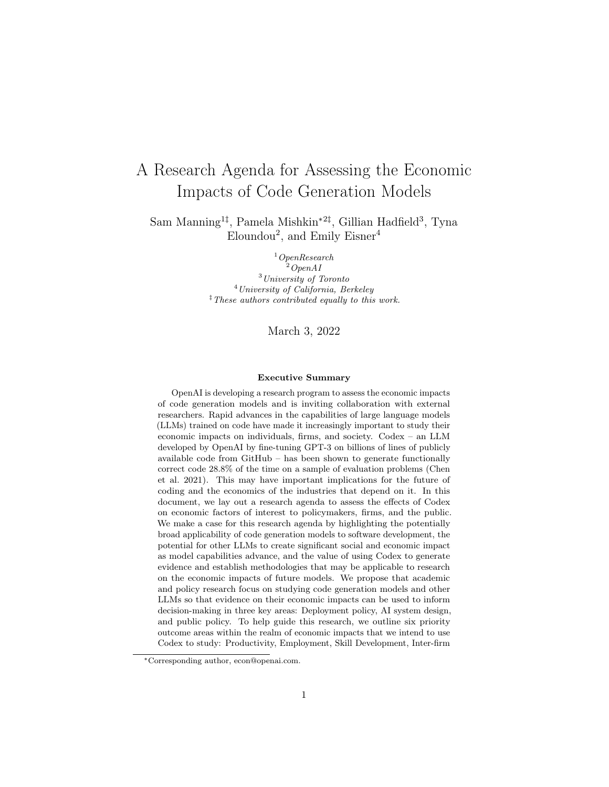# A Research Agenda for Assessing the Economic Impacts of Code Generation Models

Sam Manning<sup>1‡</sup>, Pamela Mishkin<sup>\*2‡</sup>, Gillian Hadfield<sup>3</sup>, Tyna  $\text{Eloundou}^2$ , and  $\text{Emily Eisner}^4$ 

> $1$ OpenResearch  $^{2}$ OpenAI <sup>3</sup>University of Toronto <sup>4</sup>University of California, Berkeley  $\overline{a}^{\dagger}$  These authors contributed equally to this work.

> > March 3, 2022

#### Executive Summary

OpenAI is developing a research program to assess the economic impacts of code generation models and is inviting collaboration with external researchers. Rapid advances in the capabilities of large language models (LLMs) trained on code have made it increasingly important to study their economic impacts on individuals, firms, and society. Codex – an LLM developed by OpenAI by fine-tuning GPT-3 on billions of lines of publicly available code from GitHub – has been shown to generate functionally correct code 28.8% of the time on a sample of evaluation problems (Chen et al. [2021\)](#page-17-0). This may have important implications for the future of coding and the economics of the industries that depend on it. In this document, we lay out a research agenda to assess the effects of Codex on economic factors of interest to policymakers, firms, and the public. We make a case for this research agenda by highlighting the potentially broad applicability of code generation models to software development, the potential for other LLMs to create significant social and economic impact as model capabilities advance, and the value of using Codex to generate evidence and establish methodologies that may be applicable to research on the economic impacts of future models. We propose that academic and policy research focus on studying code generation models and other LLMs so that evidence on their economic impacts can be used to inform decision-making in three key areas: Deployment policy, AI system design, and public policy. To help guide this research, we outline six priority outcome areas within the realm of economic impacts that we intend to use Codex to study: Productivity, Employment, Skill Development, Inter-firm

<sup>∗</sup>Corresponding author, econ@openai.com.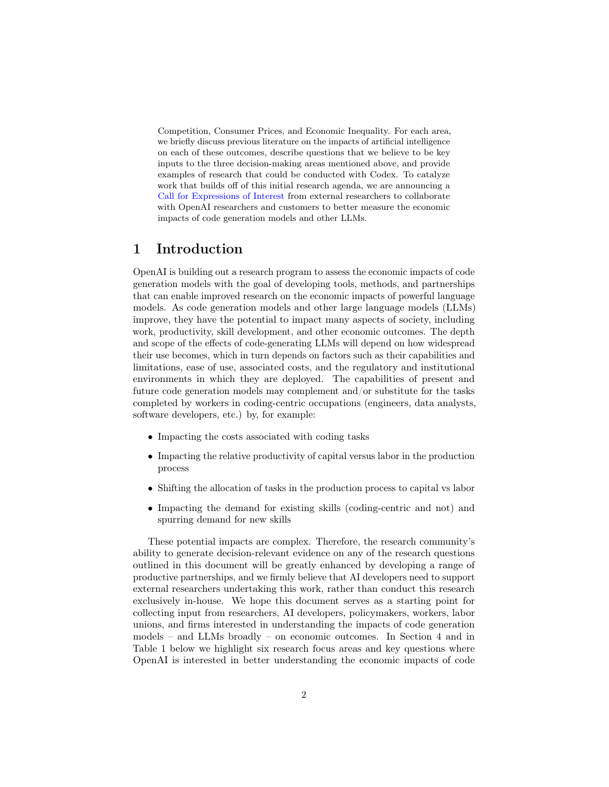Competition, Consumer Prices, and Economic Inequality. For each area, we briefly discuss previous literature on the impacts of artificial intelligence on each of these outcomes, describe questions that we believe to be key inputs to the three decision-making areas mentioned above, and provide examples of research that could be conducted with Codex. To catalyze work that builds off of this initial research agenda, we are announcing a [Call for Expressions of Interest](https://openai.com/blog/economic-impacts) from external researchers to collaborate with OpenAI researchers and customers to better measure the economic impacts of code generation models and other LLMs.

## 1 Introduction

OpenAI is building out a research program to assess the economic impacts of code generation models with the goal of developing tools, methods, and partnerships that can enable improved research on the economic impacts of powerful language models. As code generation models and other large language models (LLMs) improve, they have the potential to impact many aspects of society, including work, productivity, skill development, and other economic outcomes. The depth and scope of the effects of code-generating LLMs will depend on how widespread their use becomes, which in turn depends on factors such as their capabilities and limitations, ease of use, associated costs, and the regulatory and institutional environments in which they are deployed. The capabilities of present and future code generation models may complement and/or substitute for the tasks completed by workers in coding-centric occupations (engineers, data analysts, software developers, etc.) by, for example:

- Impacting the costs associated with coding tasks
- Impacting the relative productivity of capital versus labor in the production process
- Shifting the allocation of tasks in the production process to capital vs labor
- Impacting the demand for existing skills (coding-centric and not) and spurring demand for new skills

These potential impacts are complex. Therefore, the research community's ability to generate decision-relevant evidence on any of the research questions outlined in this document will be greatly enhanced by developing a range of productive partnerships, and we firmly believe that AI developers need to support external researchers undertaking this work, rather than conduct this research exclusively in-house. We hope this document serves as a starting point for collecting input from researchers, AI developers, policymakers, workers, labor unions, and firms interested in understanding the impacts of code generation models – and LLMs broadly – on economic outcomes. In Section 4 and in Table 1 below we highlight six research focus areas and key questions where OpenAI is interested in better understanding the economic impacts of code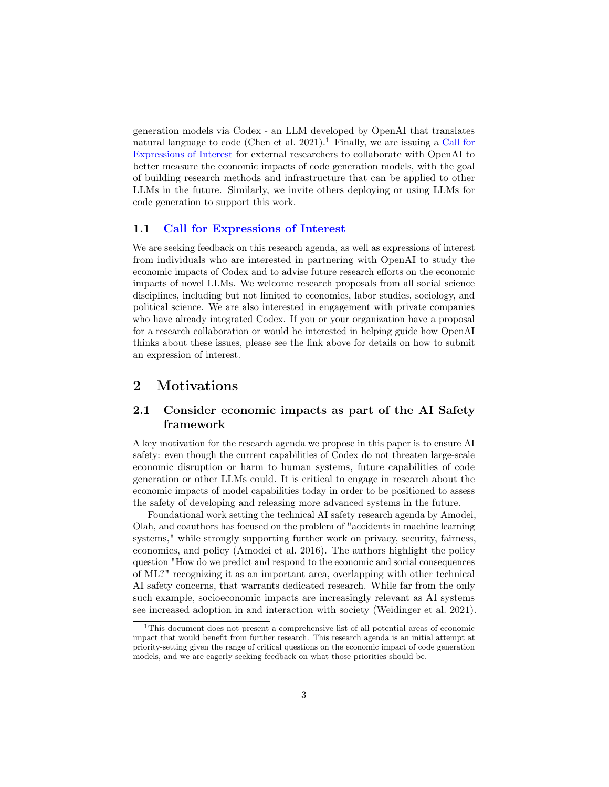generation models via Codex - an LLM developed by OpenAI that translates natural language to code (Chen et al. [2021\)](#page-17-0).<sup>[1](#page-2-0)</sup> Finally, we are issuing a [Call for](https://openai.com/blog/economic-impacts) [Expressions of Interest](https://openai.com/blog/economic-impacts) for external researchers to collaborate with OpenAI to better measure the economic impacts of code generation models, with the goal of building research methods and infrastructure that can be applied to other LLMs in the future. Similarly, we invite others deploying or using LLMs for code generation to support this work.

### 1.1 [Call for Expressions of Interest](https://openai.com/blog/economic-impacts)

We are seeking feedback on this research agenda, as well as expressions of interest from individuals who are interested in partnering with OpenAI to study the economic impacts of Codex and to advise future research efforts on the economic impacts of novel LLMs. We welcome research proposals from all social science disciplines, including but not limited to economics, labor studies, sociology, and political science. We are also interested in engagement with private companies who have already integrated Codex. If you or your organization have a proposal for a research collaboration or would be interested in helping guide how OpenAI thinks about these issues, please see the link above for details on how to submit an expression of interest.

## 2 Motivations

### 2.1 Consider economic impacts as part of the AI Safety framework

A key motivation for the research agenda we propose in this paper is to ensure AI safety: even though the current capabilities of Codex do not threaten large-scale economic disruption or harm to human systems, future capabilities of code generation or other LLMs could. It is critical to engage in research about the economic impacts of model capabilities today in order to be positioned to assess the safety of developing and releasing more advanced systems in the future.

Foundational work setting the technical AI safety research agenda by Amodei, Olah, and coauthors has focused on the problem of "accidents in machine learning systems," while strongly supporting further work on privacy, security, fairness, economics, and policy (Amodei et al. [2016\)](#page-16-0). The authors highlight the policy question "How do we predict and respond to the economic and social consequences of ML?" recognizing it as an important area, overlapping with other technical AI safety concerns, that warrants dedicated research. While far from the only such example, socioeconomic impacts are increasingly relevant as AI systems see increased adoption in and interaction with society (Weidinger et al. [2021\)](#page-20-0).

<span id="page-2-0"></span><sup>1</sup>This document does not present a comprehensive list of all potential areas of economic impact that would benefit from further research. This research agenda is an initial attempt at priority-setting given the range of critical questions on the economic impact of code generation models, and we are eagerly seeking feedback on what those priorities should be.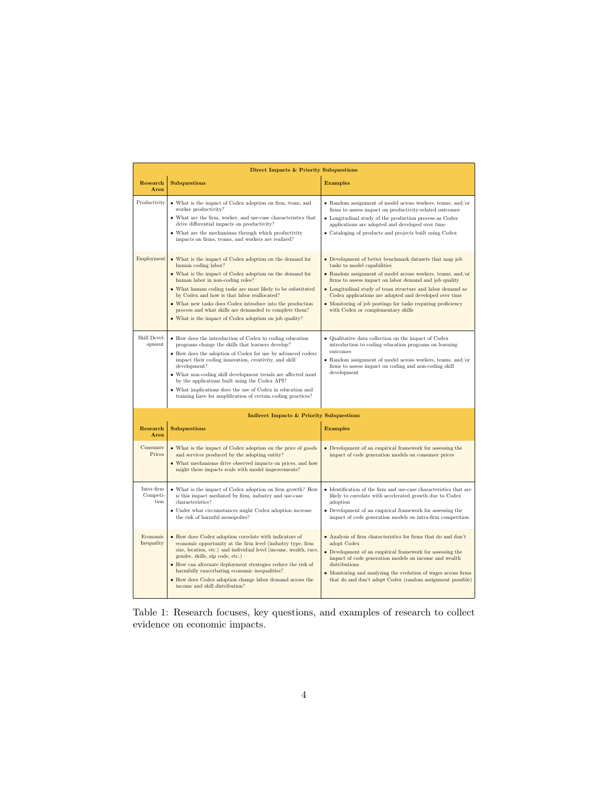| Direct Impacts & Priority Subquestions   |                                                                                                                                                                                                                                                                                                                                                                                                                                                                                                       |                                                                                                                                                                                                                                                                                                                                                                                                                                              |
|------------------------------------------|-------------------------------------------------------------------------------------------------------------------------------------------------------------------------------------------------------------------------------------------------------------------------------------------------------------------------------------------------------------------------------------------------------------------------------------------------------------------------------------------------------|----------------------------------------------------------------------------------------------------------------------------------------------------------------------------------------------------------------------------------------------------------------------------------------------------------------------------------------------------------------------------------------------------------------------------------------------|
| Research<br>Area                         | <b>Subquestions</b>                                                                                                                                                                                                                                                                                                                                                                                                                                                                                   | <b>Examples</b>                                                                                                                                                                                                                                                                                                                                                                                                                              |
| Productivity                             | • What is the impact of Codex adoption on firm, team, and<br>worker productivity?<br>• What are the firm, worker, and use-case characteristics that<br>drive differential impacts on productivity?<br>• What are the mechanisms through which productivity<br>impacts on firms, teams, and workers are realized?                                                                                                                                                                                      | • Random assignment of model across workers, teams, and/or<br>firms to assess impact on productivity-related outcomes<br>• Longitudinal study of the production process as Codex<br>applications are adopted and developed over time<br>• Cataloging of products and projects built using Codex                                                                                                                                              |
| Employment                               | • What is the impact of Codex adoption on the demand for<br>human coding labor?<br>• What is the impact of Codex adoption on the demand for<br>human labor in non-coding roles?<br>• What human coding tasks are most likely to be substituted<br>by Codex and how is that labor reallocated?<br>• What new tasks does Codex introduce into the production<br>process and what skills are demanded to complete them?<br>• What is the impact of Codex adoption on job quality?                        | • Development of better benchmark datasets that map job<br>tasks to model capabilities<br>• Random assignment of model across workers, teams, and/or<br>firms to assess impact on labor demand and job quality<br>• Longitudinal study of team structure and labor demand as<br>Codex applications are adopted and developed over time<br>• Monitoring of job postings for tasks requiring proficiency<br>with Codex or complementary skills |
| Skill Devel-<br>opment                   | • How does the introduction of Codex to coding education<br>programs change the skills that learners develop?<br>• How does the adoption of Codex for use by advanced coders<br>impact their coding innovation, creativity, and skill<br>development?<br>• What non-coding skill development trends are affected most<br>by the applications built using the Codex API?<br>• What implications does the use of Codex in education and<br>training have for amplification of certain coding practices? | • Qualitative data collection on the impact of Codex<br>introduction to coding education programs on learning<br>outcomes<br>$\bullet$ Random assignment of model across workers, teams, and/or<br>firms to assess impact on coding and non-coding skill<br>development                                                                                                                                                                      |
| Indirect Impacts & Priority Subquestions |                                                                                                                                                                                                                                                                                                                                                                                                                                                                                                       |                                                                                                                                                                                                                                                                                                                                                                                                                                              |
| Research<br>Area                         | <b>Subquestions</b>                                                                                                                                                                                                                                                                                                                                                                                                                                                                                   | <b>Examples</b>                                                                                                                                                                                                                                                                                                                                                                                                                              |
| Consumer<br>Prices                       | • What is the impact of Codex adoption on the price of goods<br>and services produced by the adopting entity?<br>• What mechanisms drive observed impacts on prices, and how<br>might these impacts scale with model improvements?                                                                                                                                                                                                                                                                    | • Development of an empirical framework for assessing the<br>impact of code generation models on consumer prices                                                                                                                                                                                                                                                                                                                             |
| Inter-firm<br>Competi-<br>tion           | • What is the impact of Codex adoption on firm growth? How<br>is this impact mediated by firm, industry and use-case<br>characteristics?<br>$\bullet~$ Under what circumstances might Codex adoption increase<br>the risk of harmful monopolies?                                                                                                                                                                                                                                                      | • Identification of the firm and use-case characteristics that are<br>likely to correlate with accelerated growth due to Codex<br>adoption<br>• Development of an empirical framework for assessing the<br>impact of code generation models on intra-firm competition                                                                                                                                                                        |
| Economic<br>Inequality                   | • How does Codex adoption correlate with indicators of<br>economic opportunity at the firm level (industry type, firm<br>size, location, etc.) and individual level (income, wealth, race,<br>gender, skills, zip code, etc.)<br>• How can alternate deployment strategies reduce the risk of<br>harmfully exacerbating economic inequalities?<br>• How does Codex adoption change labor demand across the<br>income and skill distribution?                                                          | • Analysis of firm characteristics for firms that do and don't<br>adopt Codex<br>• Development of an empirical framework for assessing the<br>impact of code generation models on income and wealth<br>distributions<br>• Monitoring and analyzing the evolution of wages across firms<br>that do and don't adopt Codex (random assignment possible)                                                                                         |

Table 1: Research focuses, key questions, and examples of research to collect evidence on economic impacts.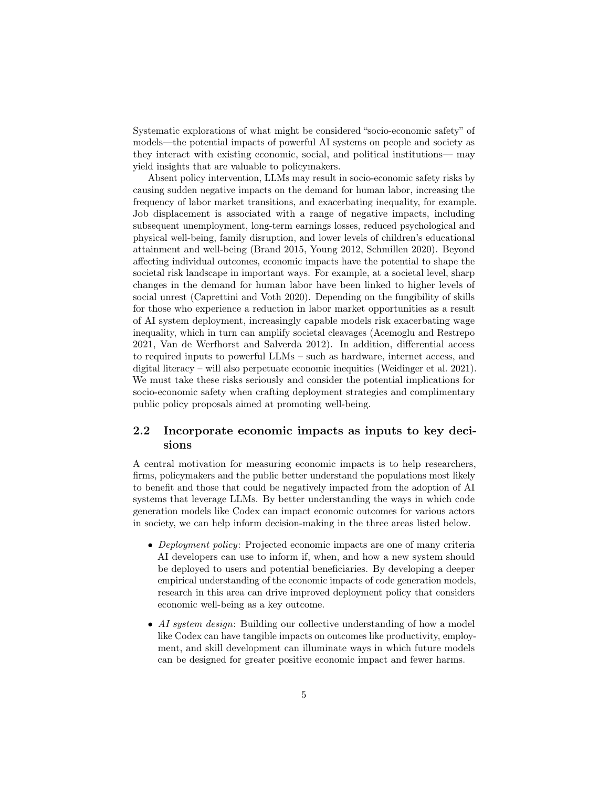Systematic explorations of what might be considered "socio-economic safety" of models—the potential impacts of powerful AI systems on people and society as they interact with existing economic, social, and political institutions— may yield insights that are valuable to policymakers.

Absent policy intervention, LLMs may result in socio-economic safety risks by causing sudden negative impacts on the demand for human labor, increasing the frequency of labor market transitions, and exacerbating inequality, for example. Job displacement is associated with a range of negative impacts, including subsequent unemployment, long-term earnings losses, reduced psychological and physical well-being, family disruption, and lower levels of children's educational attainment and well-being (Brand [2015,](#page-17-1) Young [2012,](#page-20-1) Schmillen [2020\)](#page-19-0). Beyond affecting individual outcomes, economic impacts have the potential to shape the societal risk landscape in important ways. For example, at a societal level, sharp changes in the demand for human labor have been linked to higher levels of social unrest (Caprettini and Voth [2020\)](#page-17-2). Depending on the fungibility of skills for those who experience a reduction in labor market opportunities as a result of AI system deployment, increasingly capable models risk exacerbating wage inequality, which in turn can amplify societal cleavages (Acemoglu and Restrepo [2021,](#page-16-1) Van de Werfhorst and Salverda [2012\)](#page-20-2). In addition, differential access to required inputs to powerful LLMs – such as hardware, internet access, and digital literacy – will also perpetuate economic inequities (Weidinger et al. [2021\)](#page-20-0). We must take these risks seriously and consider the potential implications for socio-economic safety when crafting deployment strategies and complimentary public policy proposals aimed at promoting well-being.

### 2.2 Incorporate economic impacts as inputs to key decisions

A central motivation for measuring economic impacts is to help researchers, firms, policymakers and the public better understand the populations most likely to benefit and those that could be negatively impacted from the adoption of AI systems that leverage LLMs. By better understanding the ways in which code generation models like Codex can impact economic outcomes for various actors in society, we can help inform decision-making in the three areas listed below.

- Deployment policy: Projected economic impacts are one of many criteria AI developers can use to inform if, when, and how a new system should be deployed to users and potential beneficiaries. By developing a deeper empirical understanding of the economic impacts of code generation models, research in this area can drive improved deployment policy that considers economic well-being as a key outcome.
- AI system design: Building our collective understanding of how a model like Codex can have tangible impacts on outcomes like productivity, employment, and skill development can illuminate ways in which future models can be designed for greater positive economic impact and fewer harms.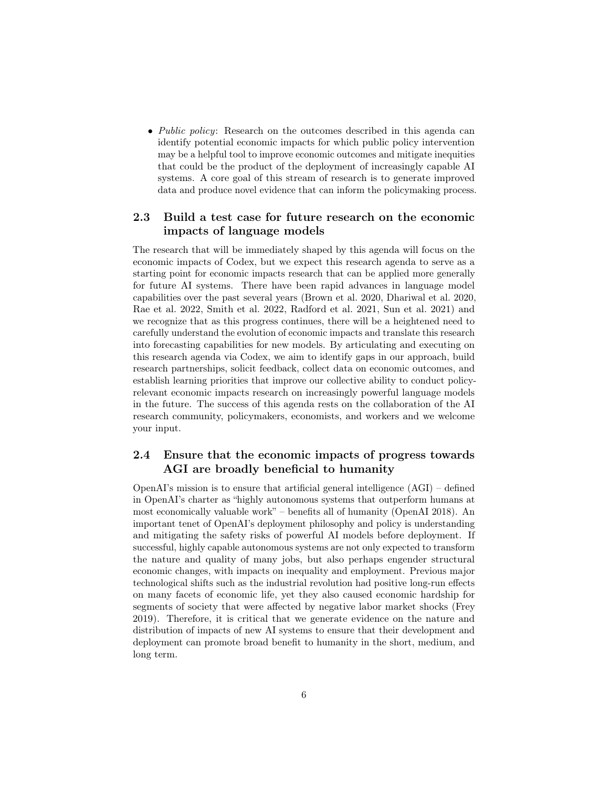• *Public policy:* Research on the outcomes described in this agenda can identify potential economic impacts for which public policy intervention may be a helpful tool to improve economic outcomes and mitigate inequities that could be the product of the deployment of increasingly capable AI systems. A core goal of this stream of research is to generate improved data and produce novel evidence that can inform the policymaking process.

### 2.3 Build a test case for future research on the economic impacts of language models

The research that will be immediately shaped by this agenda will focus on the economic impacts of Codex, but we expect this research agenda to serve as a starting point for economic impacts research that can be applied more generally for future AI systems. There have been rapid advances in language model capabilities over the past several years (Brown et al. [2020,](#page-17-3) Dhariwal et al. [2020,](#page-17-4) Rae et al. [2022,](#page-19-1) Smith et al. [2022,](#page-19-2) Radford et al. [2021,](#page-19-3) Sun et al. [2021\)](#page-19-4) and we recognize that as this progress continues, there will be a heightened need to carefully understand the evolution of economic impacts and translate this research into forecasting capabilities for new models. By articulating and executing on this research agenda via Codex, we aim to identify gaps in our approach, build research partnerships, solicit feedback, collect data on economic outcomes, and establish learning priorities that improve our collective ability to conduct policyrelevant economic impacts research on increasingly powerful language models in the future. The success of this agenda rests on the collaboration of the AI research community, policymakers, economists, and workers and we welcome your input.

### 2.4 Ensure that the economic impacts of progress towards AGI are broadly beneficial to humanity

OpenAI's mission is to ensure that artificial general intelligence  $(AGI)$  – defined in OpenAI's charter as "highly autonomous systems that outperform humans at most economically valuable work" – benefits all of humanity (OpenAI [2018\)](#page-19-5). An important tenet of OpenAI's deployment philosophy and policy is understanding and mitigating the safety risks of powerful AI models before deployment. If successful, highly capable autonomous systems are not only expected to transform the nature and quality of many jobs, but also perhaps engender structural economic changes, with impacts on inequality and employment. Previous major technological shifts such as the industrial revolution had positive long-run effects on many facets of economic life, yet they also caused economic hardship for segments of society that were affected by negative labor market shocks (Frey [2019\)](#page-18-0). Therefore, it is critical that we generate evidence on the nature and distribution of impacts of new AI systems to ensure that their development and deployment can promote broad benefit to humanity in the short, medium, and long term.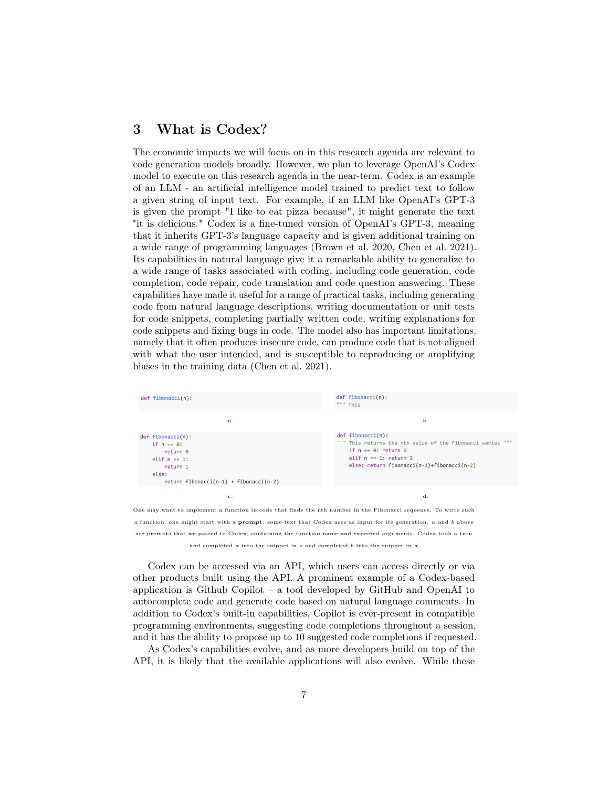# 3 What is Codex?

The economic impacts we will focus on in this research agenda are relevant to code generation models broadly. However, we plan to leverage OpenAI's Codex model to execute on this research agenda in the near-term. Codex is an example of an LLM - an artificial intelligence model trained to predict text to follow a given string of input text. For example, if an LLM like OpenAI's GPT-3 is given the prompt "I like to eat pizza because", it might generate the text "it is delicious." Codex is a fine-tuned version of OpenAI's GPT-3, meaning that it inherits GPT-3's language capacity and is given additional training on a wide range of programming languages (Brown et al. [2020,](#page-17-3) Chen et al. [2021\)](#page-17-0). Its capabilities in natural language give it a remarkable ability to generalize to a wide range of tasks associated with coding, including code generation, code completion, code repair, code translation and code question answering. These capabilities have made it useful for a range of practical tasks, including generating code from natural language descriptions, writing documentation or unit tests for code snippets, completing partially written code, writing explanations for code snippets and fixing bugs in code. The model also has important limitations, namely that it often produces insecure code, can produce code that is not aligned with what the user intended, and is susceptible to reproducing or amplifying biases in the training data (Chen et al. [2021\)](#page-17-0).



a function, one might start with a prompt: some text that Codex uses as input for its generation. a and b above are prompts that we passed to Codex, containing the function name and expected arguments. Codex took a turn and completed a into the snippet in c and completed b into the snippet in d.

Codex can be accessed via an API, which users can access directly or via other products built using the API. A prominent example of a Codex-based application is Github Copilot – a tool developed by GitHub and OpenAI to autocomplete code and generate code based on natural language comments. In addition to Codex's built-in capabilities, Copilot is ever-present in compatible programming environments, suggesting code completions throughout a session, and it has the ability to propose up to 10 suggested code completions if requested.

As Codex's capabilities evolve, and as more developers build on top of the API, it is likely that the available applications will also evolve. While these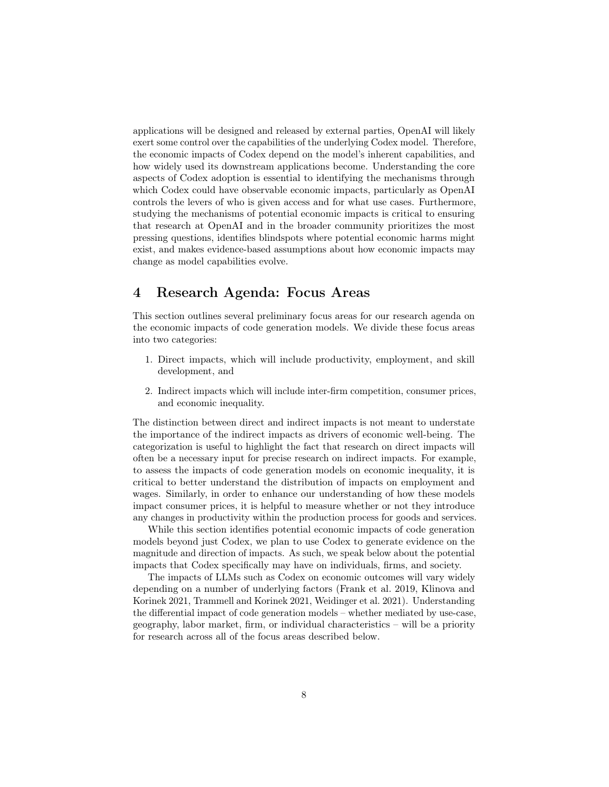applications will be designed and released by external parties, OpenAI will likely exert some control over the capabilities of the underlying Codex model. Therefore, the economic impacts of Codex depend on the model's inherent capabilities, and how widely used its downstream applications become. Understanding the core aspects of Codex adoption is essential to identifying the mechanisms through which Codex could have observable economic impacts, particularly as OpenAI controls the levers of who is given access and for what use cases. Furthermore, studying the mechanisms of potential economic impacts is critical to ensuring that research at OpenAI and in the broader community prioritizes the most pressing questions, identifies blindspots where potential economic harms might exist, and makes evidence-based assumptions about how economic impacts may change as model capabilities evolve.

# 4 Research Agenda: Focus Areas

This section outlines several preliminary focus areas for our research agenda on the economic impacts of code generation models. We divide these focus areas into two categories:

- 1. Direct impacts, which will include productivity, employment, and skill development, and
- 2. Indirect impacts which will include inter-firm competition, consumer prices, and economic inequality.

The distinction between direct and indirect impacts is not meant to understate the importance of the indirect impacts as drivers of economic well-being. The categorization is useful to highlight the fact that research on direct impacts will often be a necessary input for precise research on indirect impacts. For example, to assess the impacts of code generation models on economic inequality, it is critical to better understand the distribution of impacts on employment and wages. Similarly, in order to enhance our understanding of how these models impact consumer prices, it is helpful to measure whether or not they introduce any changes in productivity within the production process for goods and services.

While this section identifies potential economic impacts of code generation models beyond just Codex, we plan to use Codex to generate evidence on the magnitude and direction of impacts. As such, we speak below about the potential impacts that Codex specifically may have on individuals, firms, and society.

The impacts of LLMs such as Codex on economic outcomes will vary widely depending on a number of underlying factors (Frank et al. [2019,](#page-17-5) Klinova and Korinek [2021,](#page-18-1) Trammell and Korinek [2021,](#page-20-3) Weidinger et al. [2021\)](#page-20-0). Understanding the differential impact of code generation models – whether mediated by use-case, geography, labor market, firm, or individual characteristics – will be a priority for research across all of the focus areas described below.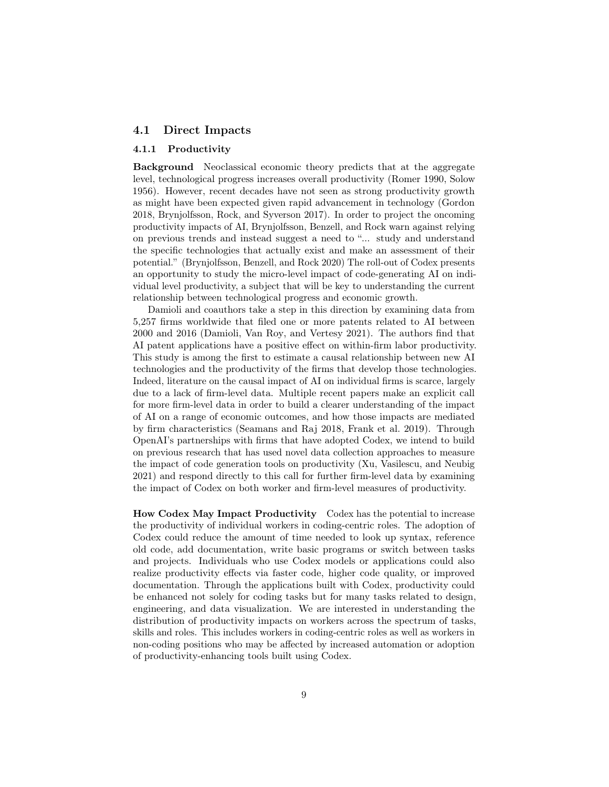#### 4.1 Direct Impacts

#### 4.1.1 Productivity

Background Neoclassical economic theory predicts that at the aggregate level, technological progress increases overall productivity (Romer [1990,](#page-19-6) Solow [1956\)](#page-19-7). However, recent decades have not seen as strong productivity growth as might have been expected given rapid advancement in technology (Gordon [2018,](#page-18-2) Brynjolfsson, Rock, and Syverson [2017\)](#page-17-6). In order to project the oncoming productivity impacts of AI, Brynjolfsson, Benzell, and Rock warn against relying on previous trends and instead suggest a need to "... study and understand the specific technologies that actually exist and make an assessment of their potential." (Brynjolfsson, Benzell, and Rock [2020\)](#page-17-7) The roll-out of Codex presents an opportunity to study the micro-level impact of code-generating AI on individual level productivity, a subject that will be key to understanding the current relationship between technological progress and economic growth.

Damioli and coauthors take a step in this direction by examining data from 5,257 firms worldwide that filed one or more patents related to AI between 2000 and 2016 (Damioli, Van Roy, and Vertesy [2021\)](#page-17-8). The authors find that AI patent applications have a positive effect on within-firm labor productivity. This study is among the first to estimate a causal relationship between new AI technologies and the productivity of the firms that develop those technologies. Indeed, literature on the causal impact of AI on individual firms is scarce, largely due to a lack of firm-level data. Multiple recent papers make an explicit call for more firm-level data in order to build a clearer understanding of the impact of AI on a range of economic outcomes, and how those impacts are mediated by firm characteristics (Seamans and Raj [2018,](#page-19-8) Frank et al. [2019\)](#page-17-5). Through OpenAI's partnerships with firms that have adopted Codex, we intend to build on previous research that has used novel data collection approaches to measure the impact of code generation tools on productivity (Xu, Vasilescu, and Neubig [2021\)](#page-20-4) and respond directly to this call for further firm-level data by examining the impact of Codex on both worker and firm-level measures of productivity.

How Codex May Impact Productivity Codex has the potential to increase the productivity of individual workers in coding-centric roles. The adoption of Codex could reduce the amount of time needed to look up syntax, reference old code, add documentation, write basic programs or switch between tasks and projects. Individuals who use Codex models or applications could also realize productivity effects via faster code, higher code quality, or improved documentation. Through the applications built with Codex, productivity could be enhanced not solely for coding tasks but for many tasks related to design, engineering, and data visualization. We are interested in understanding the distribution of productivity impacts on workers across the spectrum of tasks, skills and roles. This includes workers in coding-centric roles as well as workers in non-coding positions who may be affected by increased automation or adoption of productivity-enhancing tools built using Codex.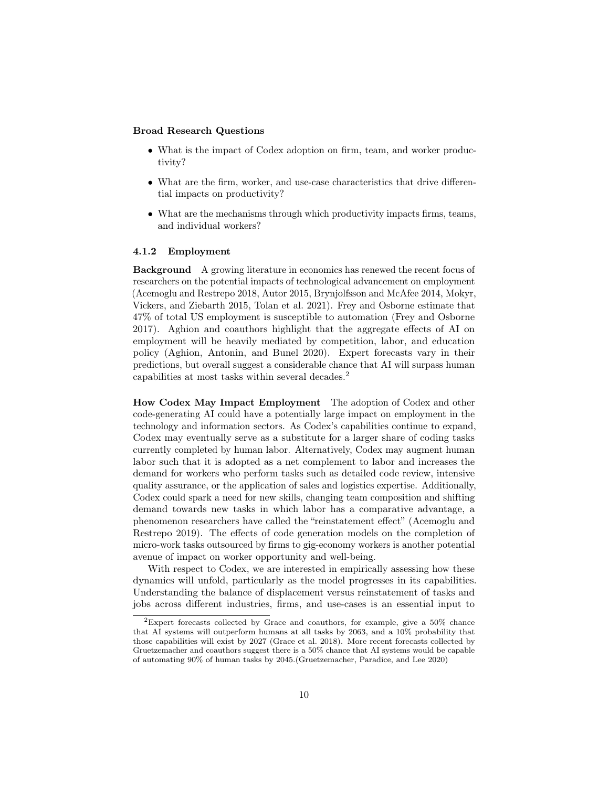#### Broad Research Questions

- What is the impact of Codex adoption on firm, team, and worker productivity?
- What are the firm, worker, and use-case characteristics that drive differential impacts on productivity?
- What are the mechanisms through which productivity impacts firms, teams, and individual workers?

#### 4.1.2 Employment

Background A growing literature in economics has renewed the recent focus of researchers on the potential impacts of technological advancement on employment (Acemoglu and Restrepo [2018,](#page-16-2) Autor [2015,](#page-16-3) Brynjolfsson and McAfee [2014,](#page-17-9) Mokyr, Vickers, and Ziebarth [2015,](#page-18-3) Tolan et al. [2021\)](#page-19-9). Frey and Osborne estimate that 47% of total US employment is susceptible to automation (Frey and Osborne [2017\)](#page-18-4). Aghion and coauthors highlight that the aggregate effects of AI on employment will be heavily mediated by competition, labor, and education policy (Aghion, Antonin, and Bunel [2020\)](#page-16-4). Expert forecasts vary in their predictions, but overall suggest a considerable chance that AI will surpass human capabilities at most tasks within several decades.[2](#page-9-0)

How Codex May Impact Employment The adoption of Codex and other code-generating AI could have a potentially large impact on employment in the technology and information sectors. As Codex's capabilities continue to expand, Codex may eventually serve as a substitute for a larger share of coding tasks currently completed by human labor. Alternatively, Codex may augment human labor such that it is adopted as a net complement to labor and increases the demand for workers who perform tasks such as detailed code review, intensive quality assurance, or the application of sales and logistics expertise. Additionally, Codex could spark a need for new skills, changing team composition and shifting demand towards new tasks in which labor has a comparative advantage, a phenomenon researchers have called the "reinstatement effect" (Acemoglu and Restrepo [2019\)](#page-16-5). The effects of code generation models on the completion of micro-work tasks outsourced by firms to gig-economy workers is another potential avenue of impact on worker opportunity and well-being.

With respect to Codex, we are interested in empirically assessing how these dynamics will unfold, particularly as the model progresses in its capabilities. Understanding the balance of displacement versus reinstatement of tasks and jobs across different industries, firms, and use-cases is an essential input to

<span id="page-9-0"></span><sup>2</sup>Expert forecasts collected by Grace and coauthors, for example, give a 50% chance that AI systems will outperform humans at all tasks by 2063, and a 10% probability that those capabilities will exist by 2027 (Grace et al. [2018\)](#page-18-5). More recent forecasts collected by Gruetzemacher and coauthors suggest there is a 50% chance that AI systems would be capable of automating 90% of human tasks by 2045.(Gruetzemacher, Paradice, and Lee [2020\)](#page-18-6)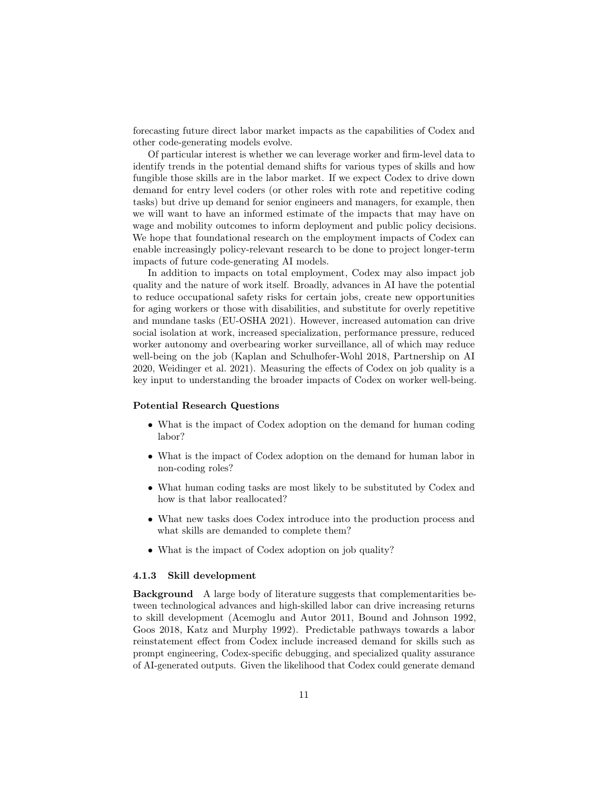forecasting future direct labor market impacts as the capabilities of Codex and other code-generating models evolve.

Of particular interest is whether we can leverage worker and firm-level data to identify trends in the potential demand shifts for various types of skills and how fungible those skills are in the labor market. If we expect Codex to drive down demand for entry level coders (or other roles with rote and repetitive coding tasks) but drive up demand for senior engineers and managers, for example, then we will want to have an informed estimate of the impacts that may have on wage and mobility outcomes to inform deployment and public policy decisions. We hope that foundational research on the employment impacts of Codex can enable increasingly policy-relevant research to be done to project longer-term impacts of future code-generating AI models.

In addition to impacts on total employment, Codex may also impact job quality and the nature of work itself. Broadly, advances in AI have the potential to reduce occupational safety risks for certain jobs, create new opportunities for aging workers or those with disabilities, and substitute for overly repetitive and mundane tasks (EU-OSHA [2021\)](#page-19-10). However, increased automation can drive social isolation at work, increased specialization, performance pressure, reduced worker autonomy and overbearing worker surveillance, all of which may reduce well-being on the job (Kaplan and Schulhofer-Wohl [2018,](#page-18-7) Partnership on AI [2020,](#page-19-11) Weidinger et al. [2021\)](#page-20-0). Measuring the effects of Codex on job quality is a key input to understanding the broader impacts of Codex on worker well-being.

#### Potential Research Questions

- What is the impact of Codex adoption on the demand for human coding labor?
- What is the impact of Codex adoption on the demand for human labor in non-coding roles?
- What human coding tasks are most likely to be substituted by Codex and how is that labor reallocated?
- What new tasks does Codex introduce into the production process and what skills are demanded to complete them?
- What is the impact of Codex adoption on job quality?

#### 4.1.3 Skill development

Background A large body of literature suggests that complementarities between technological advances and high-skilled labor can drive increasing returns to skill development (Acemoglu and Autor [2011,](#page-16-6) Bound and Johnson [1992,](#page-17-10) Goos [2018,](#page-18-8) Katz and Murphy [1992\)](#page-18-9). Predictable pathways towards a labor reinstatement effect from Codex include increased demand for skills such as prompt engineering, Codex-specific debugging, and specialized quality assurance of AI-generated outputs. Given the likelihood that Codex could generate demand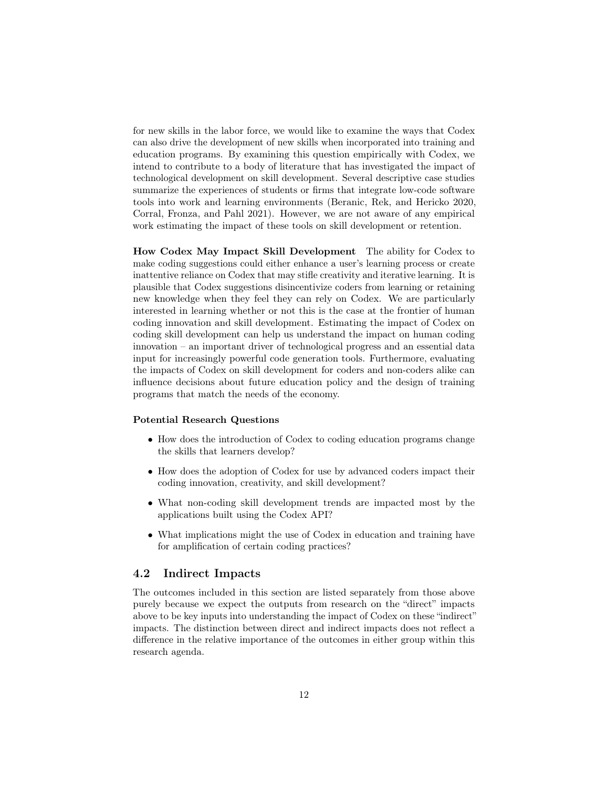for new skills in the labor force, we would like to examine the ways that Codex can also drive the development of new skills when incorporated into training and education programs. By examining this question empirically with Codex, we intend to contribute to a body of literature that has investigated the impact of technological development on skill development. Several descriptive case studies summarize the experiences of students or firms that integrate low-code software tools into work and learning environments (Beranic, Rek, and Hericko [2020,](#page-16-7) Corral, Fronza, and Pahl [2021\)](#page-17-11). However, we are not aware of any empirical work estimating the impact of these tools on skill development or retention.

How Codex May Impact Skill Development The ability for Codex to make coding suggestions could either enhance a user's learning process or create inattentive reliance on Codex that may stifle creativity and iterative learning. It is plausible that Codex suggestions disincentivize coders from learning or retaining new knowledge when they feel they can rely on Codex. We are particularly interested in learning whether or not this is the case at the frontier of human coding innovation and skill development. Estimating the impact of Codex on coding skill development can help us understand the impact on human coding innovation – an important driver of technological progress and an essential data input for increasingly powerful code generation tools. Furthermore, evaluating the impacts of Codex on skill development for coders and non-coders alike can influence decisions about future education policy and the design of training programs that match the needs of the economy.

#### Potential Research Questions

- How does the introduction of Codex to coding education programs change the skills that learners develop?
- How does the adoption of Codex for use by advanced coders impact their coding innovation, creativity, and skill development?
- What non-coding skill development trends are impacted most by the applications built using the Codex API?
- What implications might the use of Codex in education and training have for amplification of certain coding practices?

### 4.2 Indirect Impacts

The outcomes included in this section are listed separately from those above purely because we expect the outputs from research on the "direct" impacts above to be key inputs into understanding the impact of Codex on these "indirect" impacts. The distinction between direct and indirect impacts does not reflect a difference in the relative importance of the outcomes in either group within this research agenda.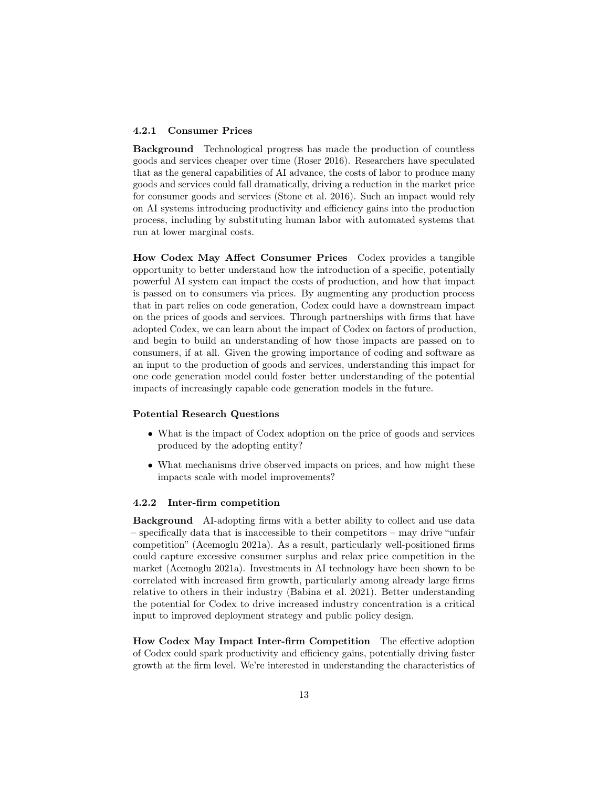#### 4.2.1 Consumer Prices

Background Technological progress has made the production of countless goods and services cheaper over time (Roser [2016\)](#page-19-12). Researchers have speculated that as the general capabilities of AI advance, the costs of labor to produce many goods and services could fall dramatically, driving a reduction in the market price for consumer goods and services (Stone et al. [2016\)](#page-19-13). Such an impact would rely on AI systems introducing productivity and efficiency gains into the production process, including by substituting human labor with automated systems that run at lower marginal costs.

How Codex May Affect Consumer Prices Codex provides a tangible opportunity to better understand how the introduction of a specific, potentially powerful AI system can impact the costs of production, and how that impact is passed on to consumers via prices. By augmenting any production process that in part relies on code generation, Codex could have a downstream impact on the prices of goods and services. Through partnerships with firms that have adopted Codex, we can learn about the impact of Codex on factors of production, and begin to build an understanding of how those impacts are passed on to consumers, if at all. Given the growing importance of coding and software as an input to the production of goods and services, understanding this impact for one code generation model could foster better understanding of the potential impacts of increasingly capable code generation models in the future.

#### Potential Research Questions

- What is the impact of Codex adoption on the price of goods and services produced by the adopting entity?
- What mechanisms drive observed impacts on prices, and how might these impacts scale with model improvements?

#### 4.2.2 Inter-firm competition

Background AI-adopting firms with a better ability to collect and use data – specifically data that is inaccessible to their competitors – may drive "unfair competition" (Acemoglu [2021a\)](#page-16-8). As a result, particularly well-positioned firms could capture excessive consumer surplus and relax price competition in the market (Acemoglu [2021a\)](#page-16-8). Investments in AI technology have been shown to be correlated with increased firm growth, particularly among already large firms relative to others in their industry (Babina et al. [2021\)](#page-16-9). Better understanding the potential for Codex to drive increased industry concentration is a critical input to improved deployment strategy and public policy design.

How Codex May Impact Inter-firm Competition The effective adoption of Codex could spark productivity and efficiency gains, potentially driving faster growth at the firm level. We're interested in understanding the characteristics of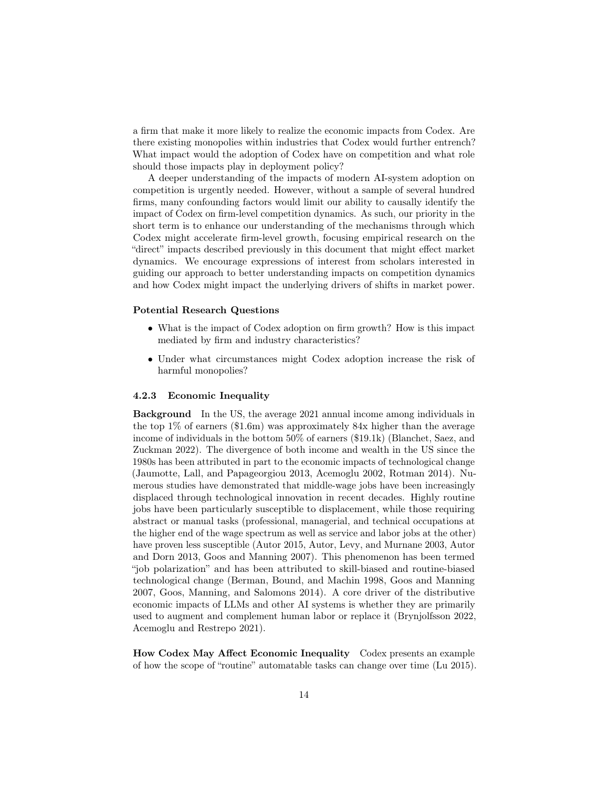a firm that make it more likely to realize the economic impacts from Codex. Are there existing monopolies within industries that Codex would further entrench? What impact would the adoption of Codex have on competition and what role should those impacts play in deployment policy?

A deeper understanding of the impacts of modern AI-system adoption on competition is urgently needed. However, without a sample of several hundred firms, many confounding factors would limit our ability to causally identify the impact of Codex on firm-level competition dynamics. As such, our priority in the short term is to enhance our understanding of the mechanisms through which Codex might accelerate firm-level growth, focusing empirical research on the "direct" impacts described previously in this document that might effect market dynamics. We encourage expressions of interest from scholars interested in guiding our approach to better understanding impacts on competition dynamics and how Codex might impact the underlying drivers of shifts in market power.

#### Potential Research Questions

- What is the impact of Codex adoption on firm growth? How is this impact mediated by firm and industry characteristics?
- Under what circumstances might Codex adoption increase the risk of harmful monopolies?

#### 4.2.3 Economic Inequality

Background In the US, the average 2021 annual income among individuals in the top 1% of earners (\$1.6m) was approximately 84x higher than the average income of individuals in the bottom 50% of earners (\$19.1k) (Blanchet, Saez, and Zuckman [2022\)](#page-17-12). The divergence of both income and wealth in the US since the 1980s has been attributed in part to the economic impacts of technological change (Jaumotte, Lall, and Papageorgiou [2013,](#page-18-10) Acemoglu [2002,](#page-15-0) Rotman [2014\)](#page-19-14). Numerous studies have demonstrated that middle-wage jobs have been increasingly displaced through technological innovation in recent decades. Highly routine jobs have been particularly susceptible to displacement, while those requiring abstract or manual tasks (professional, managerial, and technical occupations at the higher end of the wage spectrum as well as service and labor jobs at the other) have proven less susceptible (Autor [2015,](#page-16-3) Autor, Levy, and Murnane [2003,](#page-16-10) Autor and Dorn [2013,](#page-16-11) Goos and Manning [2007\)](#page-18-11). This phenomenon has been termed "job polarization" and has been attributed to skill-biased and routine-biased technological change (Berman, Bound, and Machin [1998,](#page-16-12) Goos and Manning [2007,](#page-18-11) Goos, Manning, and Salomons [2014\)](#page-18-12). A core driver of the distributive economic impacts of LLMs and other AI systems is whether they are primarily used to augment and complement human labor or replace it (Brynjolfsson [2022,](#page-17-13) Acemoglu and Restrepo [2021\)](#page-16-1).

How Codex May Affect Economic Inequality Codex presents an example of how the scope of "routine" automatable tasks can change over time (Lu [2015\)](#page-18-13).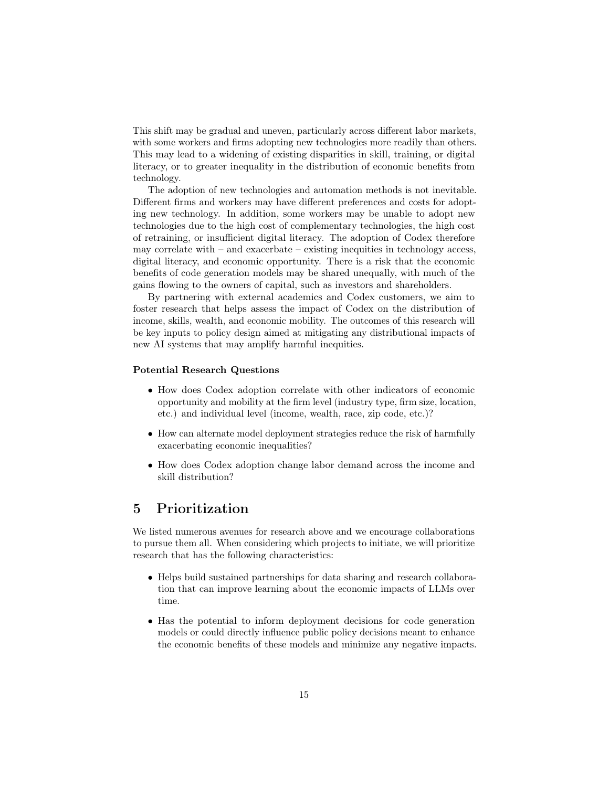This shift may be gradual and uneven, particularly across different labor markets, with some workers and firms adopting new technologies more readily than others. This may lead to a widening of existing disparities in skill, training, or digital literacy, or to greater inequality in the distribution of economic benefits from technology.

The adoption of new technologies and automation methods is not inevitable. Different firms and workers may have different preferences and costs for adopting new technology. In addition, some workers may be unable to adopt new technologies due to the high cost of complementary technologies, the high cost of retraining, or insufficient digital literacy. The adoption of Codex therefore may correlate with  $-$  and exacerbate  $-$  existing inequities in technology access, digital literacy, and economic opportunity. There is a risk that the economic benefits of code generation models may be shared unequally, with much of the gains flowing to the owners of capital, such as investors and shareholders.

By partnering with external academics and Codex customers, we aim to foster research that helps assess the impact of Codex on the distribution of income, skills, wealth, and economic mobility. The outcomes of this research will be key inputs to policy design aimed at mitigating any distributional impacts of new AI systems that may amplify harmful inequities.

#### Potential Research Questions

- How does Codex adoption correlate with other indicators of economic opportunity and mobility at the firm level (industry type, firm size, location, etc.) and individual level (income, wealth, race, zip code, etc.)?
- How can alternate model deployment strategies reduce the risk of harmfully exacerbating economic inequalities?
- How does Codex adoption change labor demand across the income and skill distribution?

## 5 Prioritization

We listed numerous avenues for research above and we encourage collaborations to pursue them all. When considering which projects to initiate, we will prioritize research that has the following characteristics:

- Helps build sustained partnerships for data sharing and research collaboration that can improve learning about the economic impacts of LLMs over time.
- Has the potential to inform deployment decisions for code generation models or could directly influence public policy decisions meant to enhance the economic benefits of these models and minimize any negative impacts.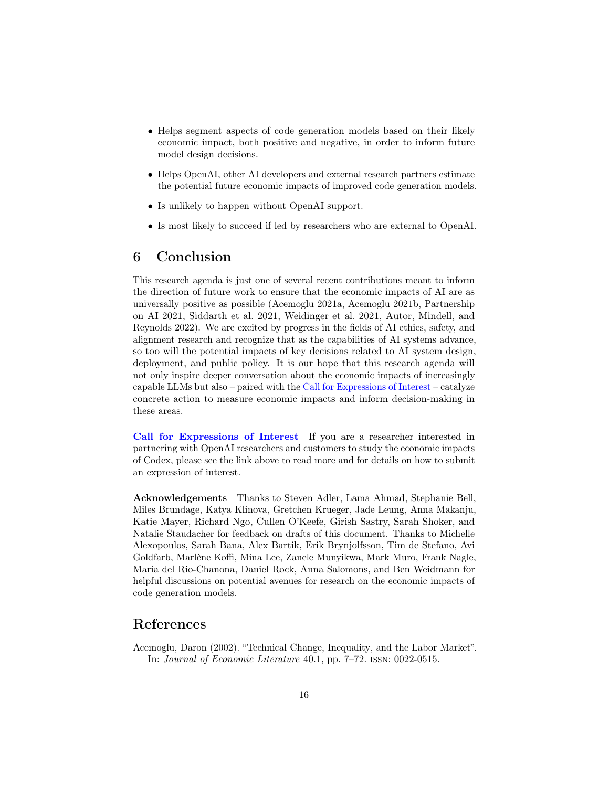- Helps segment aspects of code generation models based on their likely economic impact, both positive and negative, in order to inform future model design decisions.
- Helps OpenAI, other AI developers and external research partners estimate the potential future economic impacts of improved code generation models.
- Is unlikely to happen without OpenAI support.
- Is most likely to succeed if led by researchers who are external to OpenAI.

# 6 Conclusion

This research agenda is just one of several recent contributions meant to inform the direction of future work to ensure that the economic impacts of AI are as universally positive as possible (Acemoglu [2021a,](#page-16-8) Acemoglu [2021b,](#page-16-13) Partnership on AI [2021,](#page-19-15) Siddarth et al. [2021,](#page-19-16) Weidinger et al. [2021,](#page-20-0) Autor, Mindell, and Reynolds [2022\)](#page-16-14). We are excited by progress in the fields of AI ethics, safety, and alignment research and recognize that as the capabilities of AI systems advance, so too will the potential impacts of key decisions related to AI system design, deployment, and public policy. It is our hope that this research agenda will not only inspire deeper conversation about the economic impacts of increasingly capable LLMs but also – paired with the [Call for Expressions of Interest](https://openai.com/blog/economic-impacts) – catalyze concrete action to measure economic impacts and inform decision-making in these areas.

[Call for Expressions of Interest](https://openai.com/blog/economic-impacts) If you are a researcher interested in partnering with OpenAI researchers and customers to study the economic impacts of Codex, please see the link above to read more and for details on how to submit an expression of interest.

Acknowledgements Thanks to Steven Adler, Lama Ahmad, Stephanie Bell, Miles Brundage, Katya Klinova, Gretchen Krueger, Jade Leung, Anna Makanju, Katie Mayer, Richard Ngo, Cullen O'Keefe, Girish Sastry, Sarah Shoker, and Natalie Staudacher for feedback on drafts of this document. Thanks to Michelle Alexopoulos, Sarah Bana, Alex Bartik, Erik Brynjolfsson, Tim de Stefano, Avi Goldfarb, Marlène Koffi, Mina Lee, Zanele Munyikwa, Mark Muro, Frank Nagle, Maria del Rio-Chanona, Daniel Rock, Anna Salomons, and Ben Weidmann for helpful discussions on potential avenues for research on the economic impacts of code generation models.

# References

<span id="page-15-0"></span>Acemoglu, Daron (2002). "Technical Change, Inequality, and the Labor Market". In: Journal of Economic Literature 40.1, pp. 7–72. issn: 0022-0515.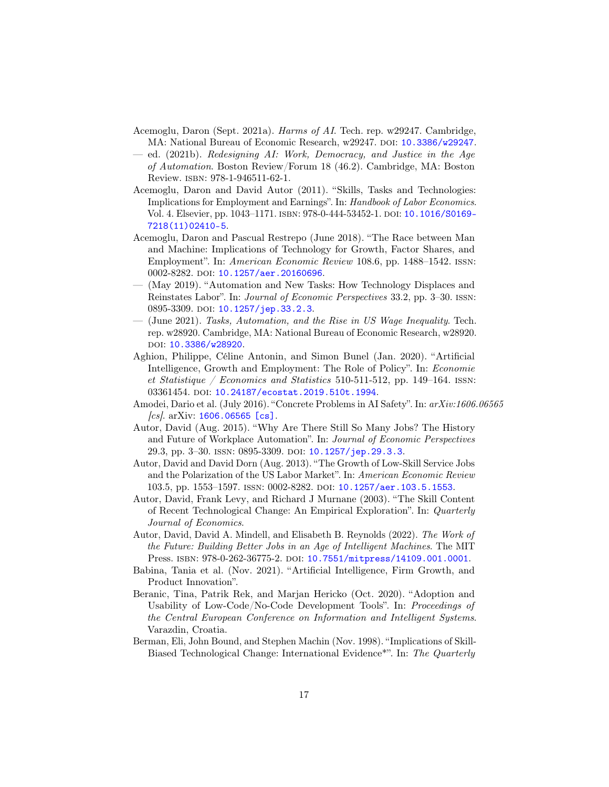- <span id="page-16-8"></span>Acemoglu, Daron (Sept. 2021a). Harms of AI. Tech. rep. w29247. Cambridge, MA: National Bureau of Economic Research, w29247. DOI: [10.3386/w29247](https://doi.org/10.3386/w29247).
- <span id="page-16-13"></span>— ed. (2021b). Redesigning AI: Work, Democracy, and Justice in the Age of Automation. Boston Review/Forum 18 (46.2). Cambridge, MA: Boston Review. isbn: 978-1-946511-62-1.
- <span id="page-16-6"></span>Acemoglu, Daron and David Autor (2011). "Skills, Tasks and Technologies: Implications for Employment and Earnings". In: Handbook of Labor Economics. Vol. 4. Elsevier, pp. 1043-1171. ISBN: 978-0-444-53452-1. DOI: [10.1016/S0169-](https://doi.org/10.1016/S0169-7218(11)02410-5) [7218\(11\)02410-5](https://doi.org/10.1016/S0169-7218(11)02410-5).
- <span id="page-16-2"></span>Acemoglu, Daron and Pascual Restrepo (June 2018). "The Race between Man and Machine: Implications of Technology for Growth, Factor Shares, and Employment". In: American Economic Review 108.6, pp. 1488–1542. issn: 0002-8282. DOI: [10.1257/aer.20160696](https://doi.org/10.1257/aer.20160696).
- <span id="page-16-5"></span>— (May 2019). "Automation and New Tasks: How Technology Displaces and Reinstates Labor". In: Journal of Economic Perspectives 33.2, pp. 3–30. issn: 0895-3309. doi: [10.1257/jep.33.2.3](https://doi.org/10.1257/jep.33.2.3).
- <span id="page-16-1"></span>— (June 2021). Tasks, Automation, and the Rise in US Wage Inequality. Tech. rep. w28920. Cambridge, MA: National Bureau of Economic Research, w28920. doi: [10.3386/w28920](https://doi.org/10.3386/w28920).
- <span id="page-16-4"></span>Aghion, Philippe, Céline Antonin, and Simon Bunel (Jan. 2020). "Artificial Intelligence, Growth and Employment: The Role of Policy". In: Economie et Statistique / Economics and Statistics 510-511-512, pp. 149–164. ISSN: 03361454. DOI: [10.24187/ecostat.2019.510t.1994](https://doi.org/10.24187/ecostat.2019.510t.1994).
- <span id="page-16-0"></span>Amodei, Dario et al. (July 2016). "Concrete Problems in AI Safety". In: arXiv:1606.06565  $[cs]$ . arXiv: [1606.06565 \[cs\]](https://arxiv.org/abs/1606.06565).
- <span id="page-16-3"></span>Autor, David (Aug. 2015). "Why Are There Still So Many Jobs? The History and Future of Workplace Automation". In: Journal of Economic Perspectives 29.3, pp. 3–30. ISSN: 0895-3309. DOI: [10.1257/jep.29.3.3](https://doi.org/10.1257/jep.29.3.3).
- <span id="page-16-11"></span>Autor, David and David Dorn (Aug. 2013). "The Growth of Low-Skill Service Jobs and the Polarization of the US Labor Market". In: American Economic Review 103.5, pp. 1553–1597. ISSN: 0002-8282. DOI: [10.1257/aer.103.5.1553](https://doi.org/10.1257/aer.103.5.1553).
- <span id="page-16-10"></span>Autor, David, Frank Levy, and Richard J Murnane (2003). "The Skill Content of Recent Technological Change: An Empirical Exploration". In: Quarterly Journal of Economics.
- <span id="page-16-14"></span>Autor, David, David A. Mindell, and Elisabeth B. Reynolds (2022). The Work of the Future: Building Better Jobs in an Age of Intelligent Machines. The MIT Press. isbn: 978-0-262-36775-2. doi: [10.7551/mitpress/14109.001.0001](https://doi.org/10.7551/mitpress/14109.001.0001).
- <span id="page-16-9"></span>Babina, Tania et al. (Nov. 2021). "Artificial Intelligence, Firm Growth, and Product Innovation".
- <span id="page-16-7"></span>Beranic, Tina, Patrik Rek, and Marjan Hericko (Oct. 2020). "Adoption and Usability of Low-Code/No-Code Development Tools". In: Proceedings of the Central European Conference on Information and Intelligent Systems. Varazdin, Croatia.
- <span id="page-16-12"></span>Berman, Eli, John Bound, and Stephen Machin (Nov. 1998). "Implications of Skill-Biased Technological Change: International Evidence\*". In: The Quarterly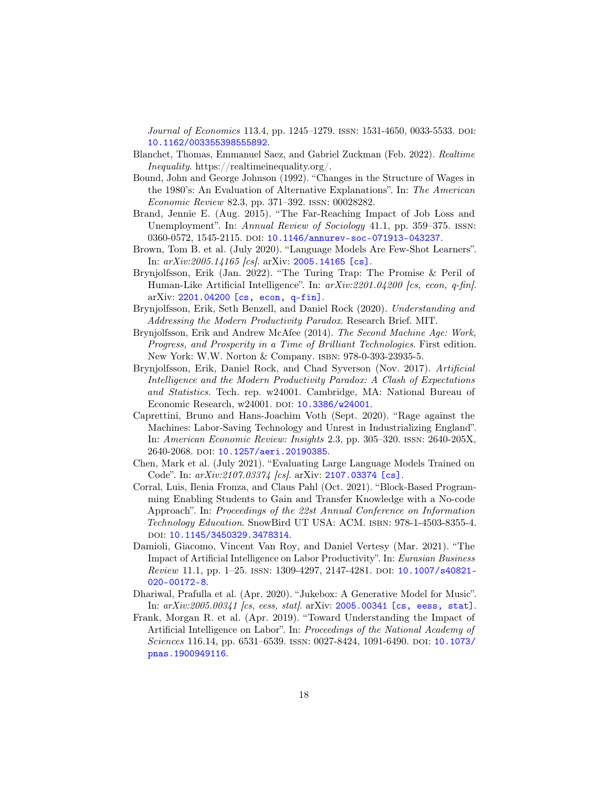Journal of Economics 113.4, pp. 1245–1279. ISSN: 1531-4650, 0033-5533. DOI: [10.1162/003355398555892](https://doi.org/10.1162/003355398555892).

- <span id="page-17-12"></span>Blanchet, Thomas, Emmanuel Saez, and Gabriel Zuckman (Feb. 2022). Realtime Inequality. https://realtimeinequality.org/.
- <span id="page-17-10"></span>Bound, John and George Johnson (1992). "Changes in the Structure of Wages in the 1980's: An Evaluation of Alternative Explanations". In: The American Economic Review 82.3, pp. 371–392. issn: 00028282.
- <span id="page-17-1"></span>Brand, Jennie E. (Aug. 2015). "The Far-Reaching Impact of Job Loss and Unemployment". In: Annual Review of Sociology 41.1, pp. 359–375. ISSN: 0360-0572, 1545-2115. poi: [10.1146/annurev-soc-071913-043237](https://doi.org/10.1146/annurev-soc-071913-043237).
- <span id="page-17-3"></span>Brown, Tom B. et al. (July 2020). "Language Models Are Few-Shot Learners". In: arXiv:2005.14165 [cs]. arXiv: [2005.14165 \[cs\]](https://arxiv.org/abs/2005.14165).
- <span id="page-17-13"></span>Brynjolfsson, Erik (Jan. 2022). "The Turing Trap: The Promise & Peril of Human-Like Artificial Intelligence". In:  $arXiv:2201.04200$  [cs, econ, q-fin]. arXiv: [2201.04200 \[cs, econ, q-fin\]](https://arxiv.org/abs/2201.04200).
- <span id="page-17-7"></span>Brynjolfsson, Erik, Seth Benzell, and Daniel Rock (2020). Understanding and Addressing the Modern Productivity Paradox. Research Brief. MIT.
- <span id="page-17-9"></span>Brynjolfsson, Erik and Andrew McAfee (2014). The Second Machine Age: Work, Progress, and Prosperity in a Time of Brilliant Technologies. First edition. New York: W.W. Norton & Company. isbn: 978-0-393-23935-5.
- <span id="page-17-6"></span>Brynjolfsson, Erik, Daniel Rock, and Chad Syverson (Nov. 2017). Artificial Intelligence and the Modern Productivity Paradox: A Clash of Expectations and Statistics. Tech. rep. w24001. Cambridge, MA: National Bureau of Economic Research, w24001. DOI: [10.3386/w24001](https://doi.org/10.3386/w24001).
- <span id="page-17-2"></span>Caprettini, Bruno and Hans-Joachim Voth (Sept. 2020). "Rage against the Machines: Labor-Saving Technology and Unrest in Industrializing England". In: American Economic Review: Insights 2.3, pp. 305–320. issn: 2640-205X, 2640-2068. doi: [10.1257/aeri.20190385](https://doi.org/10.1257/aeri.20190385).
- <span id="page-17-0"></span>Chen, Mark et al. (July 2021). "Evaluating Large Language Models Trained on Code". In: arXiv:2107.03374 [cs]. arXiv: [2107.03374 \[cs\]](https://arxiv.org/abs/2107.03374).
- <span id="page-17-11"></span>Corral, Luis, Ilenia Fronza, and Claus Pahl (Oct. 2021). "Block-Based Programming Enabling Students to Gain and Transfer Knowledge with a No-code Approach". In: Proceedings of the 22st Annual Conference on Information Technology Education. SnowBird UT USA: ACM. ISBN: 978-1-4503-8355-4. doi: [10.1145/3450329.3478314](https://doi.org/10.1145/3450329.3478314).
- <span id="page-17-8"></span>Damioli, Giacomo, Vincent Van Roy, and Daniel Vertesy (Mar. 2021). "The Impact of Artificial Intelligence on Labor Productivity". In: Eurasian Business Review 11.1, pp. 1-25. ISSN: 1309-4297, 2147-4281. DOI: [10.1007/s40821-](https://doi.org/10.1007/s40821-020-00172-8) [020-00172-8](https://doi.org/10.1007/s40821-020-00172-8).
- <span id="page-17-4"></span>Dhariwal, Prafulla et al. (Apr. 2020). "Jukebox: A Generative Model for Music". In: arXiv:2005.00341 [cs, eess, stat]. arXiv: [2005.00341 \[cs, eess, stat\]](https://arxiv.org/abs/2005.00341).
- <span id="page-17-5"></span>Frank, Morgan R. et al. (Apr. 2019). "Toward Understanding the Impact of Artificial Intelligence on Labor". In: Proceedings of the National Academy of Sciences 116.14, pp. 6531–6539. ISSN: 0027-8424, 1091-6490. DOI: [10.1073/](https://doi.org/10.1073/pnas.1900949116) [pnas.1900949116](https://doi.org/10.1073/pnas.1900949116).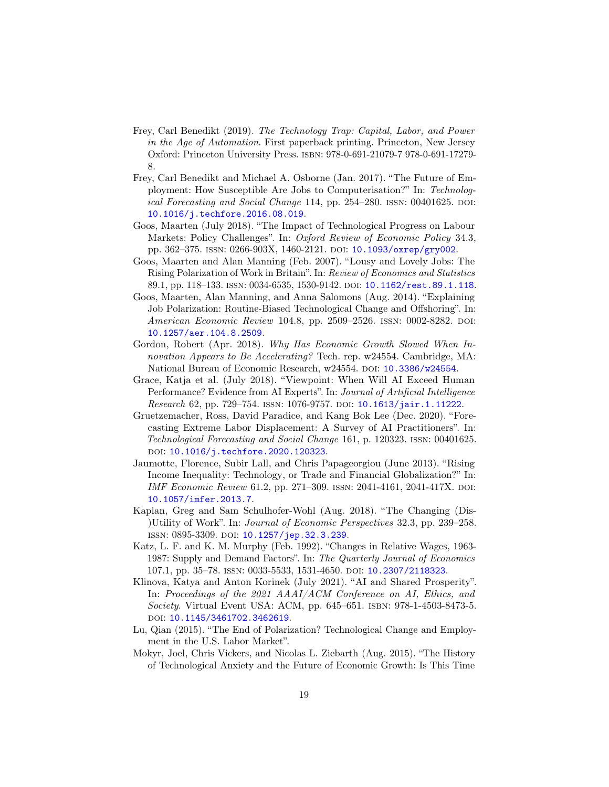- <span id="page-18-0"></span>Frey, Carl Benedikt (2019). The Technology Trap: Capital, Labor, and Power in the Age of Automation. First paperback printing. Princeton, New Jersey Oxford: Princeton University Press. isbn: 978-0-691-21079-7 978-0-691-17279- 8.
- <span id="page-18-4"></span>Frey, Carl Benedikt and Michael A. Osborne (Jan. 2017). "The Future of Employment: How Susceptible Are Jobs to Computerisation?" In: Technological Forecasting and Social Change 114, pp. 254–280. ISSN: 00401625. DOI: [10.1016/j.techfore.2016.08.019](https://doi.org/10.1016/j.techfore.2016.08.019).
- <span id="page-18-8"></span>Goos, Maarten (July 2018). "The Impact of Technological Progress on Labour Markets: Policy Challenges". In: *Oxford Review of Economic Policy* 34.3, pp. 362-375. ISSN: 0266-903X, 1460-2121. DOI: [10.1093/oxrep/gry002](https://doi.org/10.1093/oxrep/gry002).
- <span id="page-18-11"></span>Goos, Maarten and Alan Manning (Feb. 2007). "Lousy and Lovely Jobs: The Rising Polarization of Work in Britain". In: Review of Economics and Statistics 89.1, pp. 118–133. issn: 0034-6535, 1530-9142. doi: [10.1162/rest.89.1.118](https://doi.org/10.1162/rest.89.1.118).
- <span id="page-18-12"></span>Goos, Maarten, Alan Manning, and Anna Salomons (Aug. 2014). "Explaining Job Polarization: Routine-Biased Technological Change and Offshoring". In: American Economic Review 104.8, pp. 2509-2526. ISSN: 0002-8282. DOI: [10.1257/aer.104.8.2509](https://doi.org/10.1257/aer.104.8.2509).
- <span id="page-18-2"></span>Gordon, Robert (Apr. 2018). Why Has Economic Growth Slowed When Innovation Appears to Be Accelerating? Tech. rep. w24554. Cambridge, MA: National Bureau of Economic Research, w24554. DOI: [10.3386/w24554](https://doi.org/10.3386/w24554).
- <span id="page-18-5"></span>Grace, Katja et al. (July 2018). "Viewpoint: When Will AI Exceed Human Performance? Evidence from AI Experts". In: Journal of Artificial Intelligence Research 62, pp. 729-754. ISSN: 1076-9757. DOI: [10.1613/jair.1.11222](https://doi.org/10.1613/jair.1.11222).
- <span id="page-18-6"></span>Gruetzemacher, Ross, David Paradice, and Kang Bok Lee (Dec. 2020). "Forecasting Extreme Labor Displacement: A Survey of AI Practitioners". In: Technological Forecasting and Social Change 161, p. 120323. issn: 00401625. DOI: [10.1016/j.techfore.2020.120323](https://doi.org/10.1016/j.techfore.2020.120323).
- <span id="page-18-10"></span>Jaumotte, Florence, Subir Lall, and Chris Papageorgiou (June 2013). "Rising Income Inequality: Technology, or Trade and Financial Globalization?" In: IMF Economic Review 61.2, pp. 271-309. ISSN: 2041-4161, 2041-417X. DOI: [10.1057/imfer.2013.7](https://doi.org/10.1057/imfer.2013.7).
- <span id="page-18-7"></span>Kaplan, Greg and Sam Schulhofer-Wohl (Aug. 2018). "The Changing (Dis- )Utility of Work". In: Journal of Economic Perspectives 32.3, pp. 239–258. ISSN: 0895-3309. DOI: [10.1257/jep.32.3.239](https://doi.org/10.1257/jep.32.3.239).
- <span id="page-18-9"></span>Katz, L. F. and K. M. Murphy (Feb. 1992). "Changes in Relative Wages, 1963- 1987: Supply and Demand Factors". In: The Quarterly Journal of Economics 107.1, pp. 35–78. issn: 0033-5533, 1531-4650. doi: [10.2307/2118323](https://doi.org/10.2307/2118323).
- <span id="page-18-1"></span>Klinova, Katya and Anton Korinek (July 2021). "AI and Shared Prosperity". In: Proceedings of the 2021 AAAI/ACM Conference on AI, Ethics, and Society. Virtual Event USA: ACM, pp. 645–651. isbn: 978-1-4503-8473-5. doi: [10.1145/3461702.3462619](https://doi.org/10.1145/3461702.3462619).
- <span id="page-18-13"></span>Lu, Qian (2015). "The End of Polarization? Technological Change and Employment in the U.S. Labor Market".
- <span id="page-18-3"></span>Mokyr, Joel, Chris Vickers, and Nicolas L. Ziebarth (Aug. 2015). "The History of Technological Anxiety and the Future of Economic Growth: Is This Time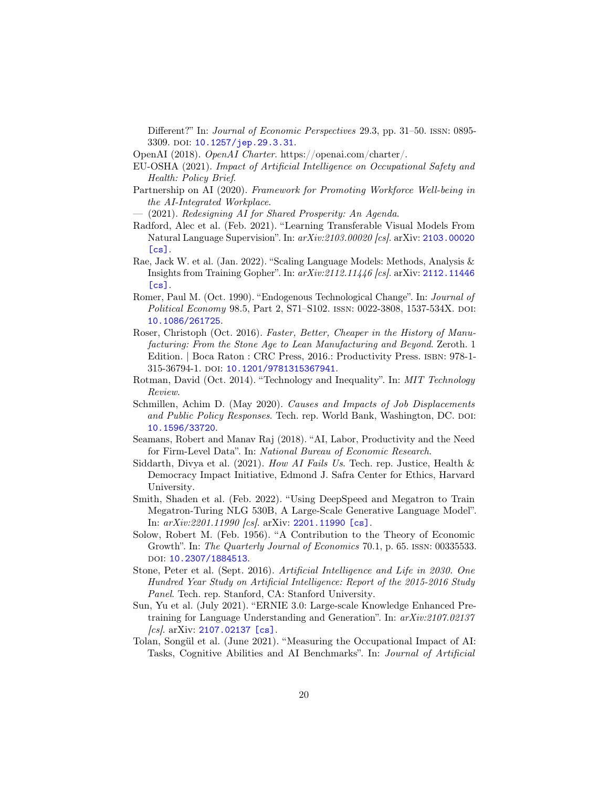Different?" In: Journal of Economic Perspectives 29.3, pp. 31–50. issn: 0895- 3309. doi: [10.1257/jep.29.3.31](https://doi.org/10.1257/jep.29.3.31).

- <span id="page-19-5"></span>OpenAI (2018). OpenAI Charter. https://openai.com/charter/.
- <span id="page-19-10"></span>EU-OSHA (2021). Impact of Artificial Intelligence on Occupational Safety and Health: Policy Brief.
- <span id="page-19-11"></span>Partnership on AI (2020). Framework for Promoting Workforce Well-being in the AI-Integrated Workplace.
- <span id="page-19-15"></span>— (2021). Redesigning AI for Shared Prosperity: An Agenda.
- <span id="page-19-3"></span>Radford, Alec et al. (Feb. 2021). "Learning Transferable Visual Models From Natural Language Supervision". In: arXiv:2103.00020 [cs]. arXiv: [2103.00020](https://arxiv.org/abs/2103.00020)  $[cs]$ .
- <span id="page-19-1"></span>Rae, Jack W. et al. (Jan. 2022). "Scaling Language Models: Methods, Analysis & Insights from Training Gopher". In: arXiv:2112.11446 [cs]. arXiv: [2112.11446](https://arxiv.org/abs/2112.11446)  $[cs]$ .
- <span id="page-19-6"></span>Romer, Paul M. (Oct. 1990). "Endogenous Technological Change". In: Journal of Political Economy 98.5, Part 2, S71–S102. ISSN: 0022-3808, 1537-534X. DOI: [10.1086/261725](https://doi.org/10.1086/261725).
- <span id="page-19-12"></span>Roser, Christoph (Oct. 2016). Faster, Better, Cheaper in the History of Manufacturing: From the Stone Age to Lean Manufacturing and Beyond. Zeroth. 1 Edition. | Boca Raton : CRC Press, 2016.: Productivity Press. isbn: 978-1- 315-36794-1. DOI: [10.1201/9781315367941](https://doi.org/10.1201/9781315367941).
- <span id="page-19-14"></span>Rotman, David (Oct. 2014). "Technology and Inequality". In: MIT Technology Review.
- <span id="page-19-0"></span>Schmillen, Achim D. (May 2020). Causes and Impacts of Job Displacements and Public Policy Responses. Tech. rep. World Bank, Washington, DC. DOI: [10.1596/33720](https://doi.org/10.1596/33720).
- <span id="page-19-8"></span>Seamans, Robert and Manav Raj (2018). "AI, Labor, Productivity and the Need for Firm-Level Data". In: National Bureau of Economic Research.
- <span id="page-19-16"></span>Siddarth, Divya et al. (2021). How AI Fails Us. Tech. rep. Justice, Health & Democracy Impact Initiative, Edmond J. Safra Center for Ethics, Harvard University.
- <span id="page-19-2"></span>Smith, Shaden et al. (Feb. 2022). "Using DeepSpeed and Megatron to Train Megatron-Turing NLG 530B, A Large-Scale Generative Language Model". In: arXiv:2201.11990 [cs]. arXiv: [2201.11990 \[cs\]](https://arxiv.org/abs/2201.11990).
- <span id="page-19-7"></span>Solow, Robert M. (Feb. 1956). "A Contribution to the Theory of Economic Growth". In: The Quarterly Journal of Economics 70.1, p. 65. issn: 00335533. doi: [10.2307/1884513](https://doi.org/10.2307/1884513).
- <span id="page-19-13"></span>Stone, Peter et al. (Sept. 2016). Artificial Intelligence and Life in 2030. One Hundred Year Study on Artificial Intelligence: Report of the 2015-2016 Study Panel. Tech. rep. Stanford, CA: Stanford University.
- <span id="page-19-4"></span>Sun, Yu et al. (July 2021). "ERNIE 3.0: Large-scale Knowledge Enhanced Pretraining for Language Understanding and Generation". In: arXiv:2107.02137  $[cs]$ . arXiv: 2107.02137  $[cs]$ .
- <span id="page-19-9"></span>Tolan, Songül et al. (June 2021). "Measuring the Occupational Impact of AI: Tasks, Cognitive Abilities and AI Benchmarks". In: Journal of Artificial